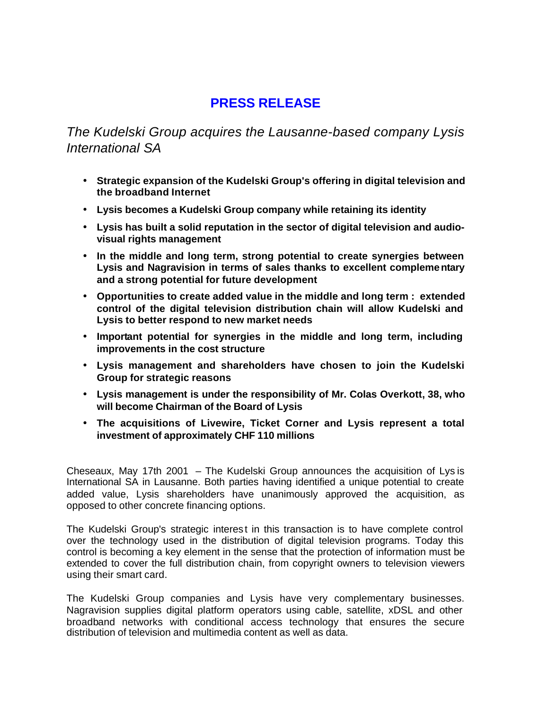## **PRESS RELEASE**

*The Kudelski Group acquires the Lausanne-based company Lysis International SA*

- **Strategic expansion of the Kudelski Group's offering in digital television and the broadband Internet**
- **Lysis becomes a Kudelski Group company while retaining its identity**
- **Lysis has built a solid reputation in the sector of digital television and audiovisual rights management**
- **In the middle and long term, strong potential to create synergies between Lysis and Nagravision in terms of sales thanks to excellent complementary and a strong potential for future development**
- **Opportunities to create added value in the middle and long term : extended control of the digital television distribution chain will allow Kudelski and Lysis to better respond to new market needs**
- **Important potential for synergies in the middle and long term, including improvements in the cost structure**
- **Lysis management and shareholders have chosen to join the Kudelski Group for strategic reasons**
- **Lysis management is under the responsibility of Mr. Colas Overkott, 38, who will become Chairman of the Board of Lysis**
- **The acquisitions of Livewire, Ticket Corner and Lysis represent a total investment of approximately CHF 110 millions**

Cheseaux, May 17th 2001 – The Kudelski Group announces the acquisition of Lys is International SA in Lausanne. Both parties having identified a unique potential to create added value, Lysis shareholders have unanimously approved the acquisition, as opposed to other concrete financing options.

The Kudelski Group's strategic interest in this transaction is to have complete control over the technology used in the distribution of digital television programs. Today this control is becoming a key element in the sense that the protection of information must be extended to cover the full distribution chain, from copyright owners to television viewers using their smart card.

The Kudelski Group companies and Lysis have very complementary businesses. Nagravision supplies digital platform operators using cable, satellite, xDSL and other broadband networks with conditional access technology that ensures the secure distribution of television and multimedia content as well as data.